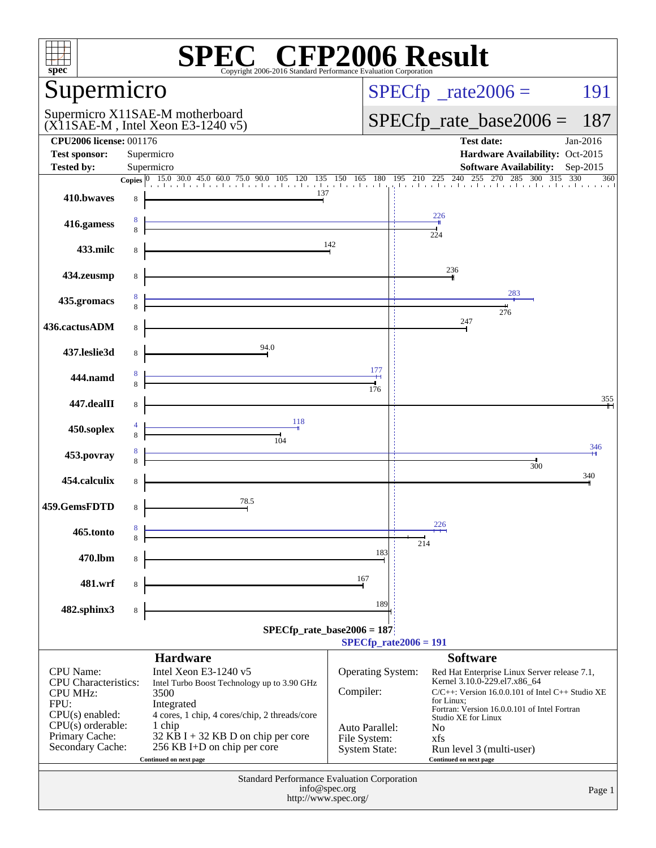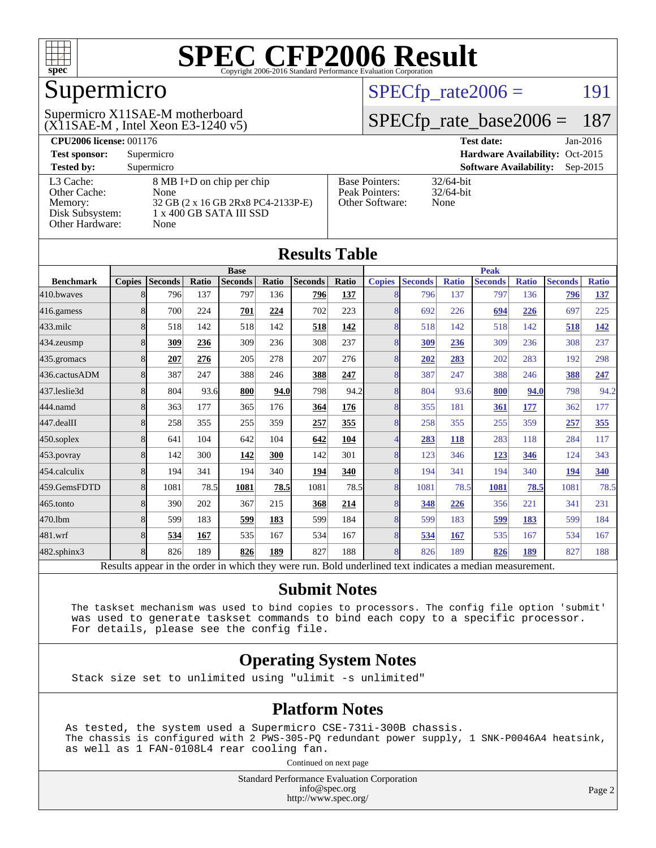

## Supermicro

(X11SAE-M , Intel Xeon E3-1240 v5) Supermicro X11SAE-M motherboard

 $SPECTp_rate2006 = 191$ 

#### [SPECfp\\_rate\\_base2006 =](http://www.spec.org/auto/cpu2006/Docs/result-fields.html#SPECfpratebase2006) 187

| <b>CPU2006 license: 001176</b> |                                    |                                 | <b>Test date:</b><br>$Jan-2016$             |  |  |  |
|--------------------------------|------------------------------------|---------------------------------|---------------------------------------------|--|--|--|
| <b>Test sponsor:</b>           | Supermicro                         | Hardware Availability: Oct-2015 |                                             |  |  |  |
| <b>Tested by:</b>              | Supermicro                         |                                 | <b>Software Availability:</b><br>$Sep-2015$ |  |  |  |
| L3 Cache:                      | 8 MB I+D on chip per chip          | <b>Base Pointers:</b>           | $32/64$ -bit                                |  |  |  |
| Other Cache:                   | None                               | Peak Pointers:                  | $32/64$ -bit                                |  |  |  |
| Memory:                        | 32 GB (2 x 16 GB 2Rx8 PC4-2133P-E) | Other Software:                 | None                                        |  |  |  |
| Disk Subsystem:                | 1 x 400 GB SATA III SSD            |                                 |                                             |  |  |  |
| Other Hardware:                | None                               |                                 |                                             |  |  |  |

**[Results Table](http://www.spec.org/auto/cpu2006/Docs/result-fields.html#ResultsTable)**

| Results Table                                                                                            |                |                |       |                |       |                |              |                          |                |              |                |              |                |              |
|----------------------------------------------------------------------------------------------------------|----------------|----------------|-------|----------------|-------|----------------|--------------|--------------------------|----------------|--------------|----------------|--------------|----------------|--------------|
|                                                                                                          | <b>Base</b>    |                |       |                |       |                | <b>Peak</b>  |                          |                |              |                |              |                |              |
| <b>Benchmark</b>                                                                                         | <b>Copies</b>  | <b>Seconds</b> | Ratio | <b>Seconds</b> | Ratio | <b>Seconds</b> | <b>Ratio</b> | <b>Copies</b>            | <b>Seconds</b> | <b>Ratio</b> | <b>Seconds</b> | <b>Ratio</b> | <b>Seconds</b> | <b>Ratio</b> |
| 410.bwayes                                                                                               | 8              | 796            | 137   | 797            | 136   | 796            | 137          | 8                        | 796            | 137          | 797            | 136          | 796            | <u>137</u>   |
| 416.gamess                                                                                               | 8              | 700            | 224   | 701            | 224   | 702            | 223          | 8                        | 692            | 226          | 694            | 226          | 697            | 225          |
| 433.milc                                                                                                 | 8              | 518            | 142   | 518            | 142   | 518            | 142          | 8                        | 518            | 142          | 518            | 142          | 518            | <u>142</u>   |
| 434.zeusmp                                                                                               | 8              | 309            | 236   | 309            | 236   | 308            | 237          | 8                        | 309            | 236          | 309            | 236          | 308            | 237          |
| 435.gromacs                                                                                              | 8              | 207            | 276   | 205            | 278   | 207            | 276          | 8                        | 202            | 283          | 202            | 283          | 192            | 298          |
| 436.cactusADM                                                                                            | 8              | 387            | 247   | 388            | 246   | 388            | 247          | $\overline{8}$           | 387            | 247          | 388            | 246          | 388            | 247          |
| 437.leslie3d                                                                                             | 8              | 804            | 93.6  | 800            | 94.0  | 798            | 94.2         | 8                        | 804            | 93.6         | 800            | 94.0         | 798            | 94.2         |
| 444.namd                                                                                                 | 8              | 363            | 177   | 365            | 176   | 364            | 176          | 8                        | 355            | 181          | 361            | 177          | 362            | 177          |
| 447.dealII                                                                                               | 8              | 258            | 355   | 255            | 359   | 257            | 355          | 8                        | 258            | 355          | 255            | 359          | 257            | 355          |
| 450.soplex                                                                                               | 8              | 641            | 104   | 642            | 104   | 642            | 104          | $\overline{\mathcal{A}}$ | 283            | 118          | 283            | 118          | 284            | 117          |
| 453.povray                                                                                               | 8              | 142            | 300   | 142            | 300   | 142            | 301          | 8                        | 123            | 346          | 123            | 346          | 124            | 343          |
| 454.calculix                                                                                             | 8              | 194            | 341   | 194            | 340   | 194            | 340          | 8                        | 194            | 341          | 194            | 340          | 194            | <u>340</u>   |
| 459.GemsFDTD                                                                                             | 8              | 1081           | 78.5  | 1081           | 78.5  | 1081           | 78.5         | 8                        | 1081           | 78.5         | 1081           | 78.5         | 1081           | 78.5         |
| 465.tonto                                                                                                | 8              | 390            | 202   | 367            | 215   | 368            | 214          | $\overline{8}$           | 348            | 226          | 356            | 221          | 341            | 231          |
| 470.1bm                                                                                                  | $\overline{8}$ | 599            | 183   | 599            | 183   | 599            | 184          | $\overline{8}$           | 599            | 183          | 599            | 183          | 599            | 184          |
| 481.wrf                                                                                                  | 8              | 534            | 167   | 535            | 167   | 534            | 167          | 8                        | 534            | 167          | 535            | 167          | 534            | 167          |
| 482.sphinx3                                                                                              | $\overline{8}$ | 826            | 189   | 826            | 189   | 827            | 188          | 8                        | 826            | 189          | 826            | 189          | 827            | 188          |
| Results appear in the order in which they were run. Bold underlined text indicates a median measurement. |                |                |       |                |       |                |              |                          |                |              |                |              |                |              |

#### **[Submit Notes](http://www.spec.org/auto/cpu2006/Docs/result-fields.html#SubmitNotes)**

 The taskset mechanism was used to bind copies to processors. The config file option 'submit' was used to generate taskset commands to bind each copy to a specific processor. For details, please see the config file.

#### **[Operating System Notes](http://www.spec.org/auto/cpu2006/Docs/result-fields.html#OperatingSystemNotes)**

Stack size set to unlimited using "ulimit -s unlimited"

#### **[Platform Notes](http://www.spec.org/auto/cpu2006/Docs/result-fields.html#PlatformNotes)**

As tested, the system used a Supermicro CSE-731i-300B chassis. The chassis is configured with 2 PWS-305-PQ redundant power supply, 1 SNK-P0046A4 heatsink, as well as 1 FAN-0108L4 rear cooling fan.

Continued on next page

Standard Performance Evaluation Corporation [info@spec.org](mailto:info@spec.org) <http://www.spec.org/>

Page 2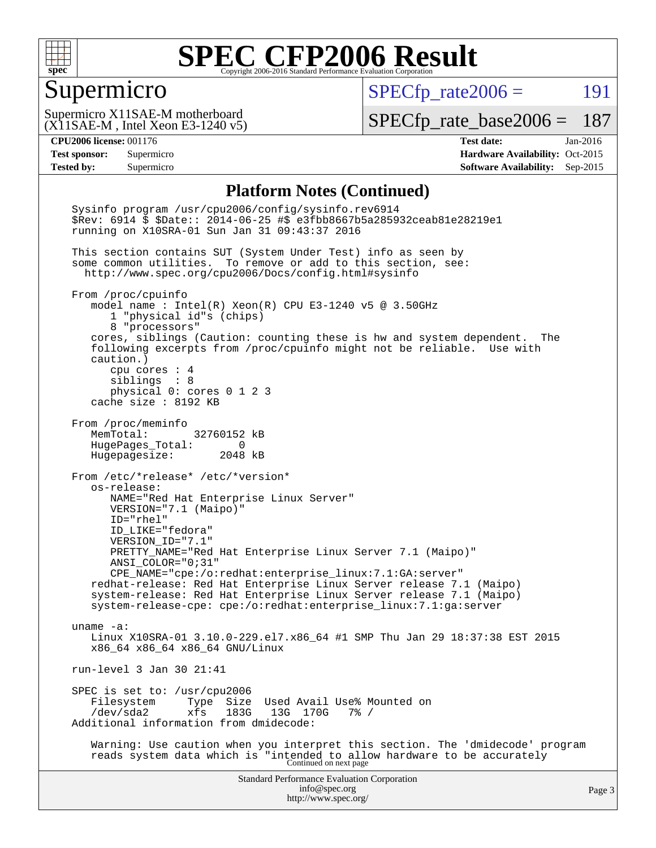

#### Supermicro

 $SPECfp_rate2006 =$  191

(X11SAE-M , Intel Xeon E3-1240 v5) Supermicro X11SAE-M motherboard

[SPECfp\\_rate\\_base2006 =](http://www.spec.org/auto/cpu2006/Docs/result-fields.html#SPECfpratebase2006) 187

**[CPU2006 license:](http://www.spec.org/auto/cpu2006/Docs/result-fields.html#CPU2006license)** 001176 **[Test date:](http://www.spec.org/auto/cpu2006/Docs/result-fields.html#Testdate)** Jan-2016 **[Test sponsor:](http://www.spec.org/auto/cpu2006/Docs/result-fields.html#Testsponsor)** Supermicro Supermicro **[Hardware Availability:](http://www.spec.org/auto/cpu2006/Docs/result-fields.html#HardwareAvailability)** Oct-2015 **[Tested by:](http://www.spec.org/auto/cpu2006/Docs/result-fields.html#Testedby)** Supermicro **Supermicro [Software Availability:](http://www.spec.org/auto/cpu2006/Docs/result-fields.html#SoftwareAvailability)** Sep-2015

#### **[Platform Notes \(Continued\)](http://www.spec.org/auto/cpu2006/Docs/result-fields.html#PlatformNotes)**

Standard Performance Evaluation Corporation [info@spec.org](mailto:info@spec.org) <http://www.spec.org/> Page 3 Sysinfo program /usr/cpu2006/config/sysinfo.rev6914 \$Rev: 6914 \$ \$Date:: 2014-06-25 #\$ e3fbb8667b5a285932ceab81e28219e1 running on X10SRA-01 Sun Jan 31 09:43:37 2016 This section contains SUT (System Under Test) info as seen by some common utilities. To remove or add to this section, see: <http://www.spec.org/cpu2006/Docs/config.html#sysinfo> From /proc/cpuinfo model name : Intel(R) Xeon(R) CPU E3-1240 v5 @ 3.50GHz 1 "physical id"s (chips) 8 "processors" cores, siblings (Caution: counting these is hw and system dependent. The following excerpts from /proc/cpuinfo might not be reliable. Use with caution.) cpu cores : 4 siblings : 8 physical 0: cores 0 1 2 3 cache size : 8192 KB From /proc/meminfo MemTotal: 32760152 kB HugePages\_Total: 0 Hugepagesize: 2048 kB From /etc/\*release\* /etc/\*version\* os-release: NAME="Red Hat Enterprise Linux Server" VERSION="7.1 (Maipo)" ID="rhel" ID\_LIKE="fedora" VERSION\_ID="7.1" PRETTY\_NAME="Red Hat Enterprise Linux Server 7.1 (Maipo)" ANSI\_COLOR="0;31" CPE\_NAME="cpe:/o:redhat:enterprise\_linux:7.1:GA:server" redhat-release: Red Hat Enterprise Linux Server release 7.1 (Maipo) system-release: Red Hat Enterprise Linux Server release 7.1 (Maipo) system-release-cpe: cpe:/o:redhat:enterprise\_linux:7.1:ga:server uname -a: Linux X10SRA-01 3.10.0-229.el7.x86\_64 #1 SMP Thu Jan 29 18:37:38 EST 2015 x86\_64 x86\_64 x86\_64 GNU/Linux run-level 3 Jan 30 21:41 SPEC is set to: /usr/cpu2006<br>Filesystem Type Size Filesystem Type Size Used Avail Use% Mounted on<br>/dev/sda2 xfs 183G 13G 170G 7% / /dev/sda2 xfs 183G 13G 170G 7% / Additional information from dmidecode: Warning: Use caution when you interpret this section. The 'dmidecode' program reads system data which is "intended to allow hardware to be accurately Continued on next page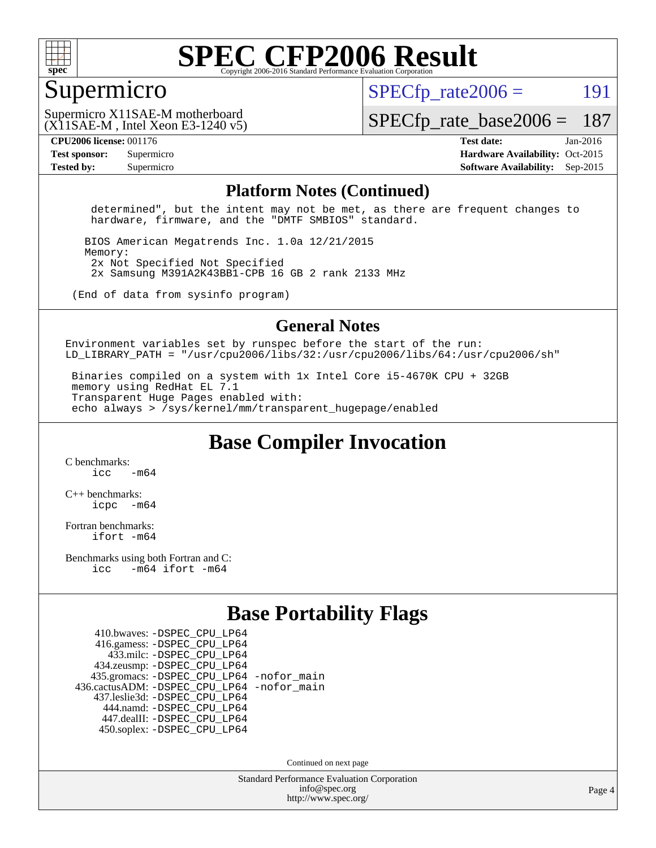

#### Supermicro

 $SPECTp\_rate2006 = 191$ 

(X11SAE-M , Intel Xeon E3-1240 v5) Supermicro X11SAE-M motherboard

[SPECfp\\_rate\\_base2006 =](http://www.spec.org/auto/cpu2006/Docs/result-fields.html#SPECfpratebase2006) 187

**[CPU2006 license:](http://www.spec.org/auto/cpu2006/Docs/result-fields.html#CPU2006license)** 001176 **[Test date:](http://www.spec.org/auto/cpu2006/Docs/result-fields.html#Testdate)** Jan-2016 **[Test sponsor:](http://www.spec.org/auto/cpu2006/Docs/result-fields.html#Testsponsor)** Supermicro Supermicro **[Hardware Availability:](http://www.spec.org/auto/cpu2006/Docs/result-fields.html#HardwareAvailability)** Oct-2015 **[Tested by:](http://www.spec.org/auto/cpu2006/Docs/result-fields.html#Testedby)** Supermicro **Supermicro [Software Availability:](http://www.spec.org/auto/cpu2006/Docs/result-fields.html#SoftwareAvailability)** Sep-2015

#### **[Platform Notes \(Continued\)](http://www.spec.org/auto/cpu2006/Docs/result-fields.html#PlatformNotes)**

 determined", but the intent may not be met, as there are frequent changes to hardware, firmware, and the "DMTF SMBIOS" standard.

 BIOS American Megatrends Inc. 1.0a 12/21/2015 Memory: 2x Not Specified Not Specified 2x Samsung M391A2K43BB1-CPB 16 GB 2 rank 2133 MHz

(End of data from sysinfo program)

#### **[General Notes](http://www.spec.org/auto/cpu2006/Docs/result-fields.html#GeneralNotes)**

Environment variables set by runspec before the start of the run: LD LIBRARY\_PATH = "/usr/cpu2006/libs/32:/usr/cpu2006/libs/64:/usr/cpu2006/sh"

 Binaries compiled on a system with 1x Intel Core i5-4670K CPU + 32GB memory using RedHat EL 7.1 Transparent Huge Pages enabled with: echo always > /sys/kernel/mm/transparent\_hugepage/enabled

**[Base Compiler Invocation](http://www.spec.org/auto/cpu2006/Docs/result-fields.html#BaseCompilerInvocation)**

[C benchmarks](http://www.spec.org/auto/cpu2006/Docs/result-fields.html#Cbenchmarks):  $icc$   $-m64$ 

[C++ benchmarks:](http://www.spec.org/auto/cpu2006/Docs/result-fields.html#CXXbenchmarks) [icpc -m64](http://www.spec.org/cpu2006/results/res2016q1/cpu2006-20160206-38978.flags.html#user_CXXbase_intel_icpc_64bit_bedb90c1146cab66620883ef4f41a67e)

[Fortran benchmarks](http://www.spec.org/auto/cpu2006/Docs/result-fields.html#Fortranbenchmarks): [ifort -m64](http://www.spec.org/cpu2006/results/res2016q1/cpu2006-20160206-38978.flags.html#user_FCbase_intel_ifort_64bit_ee9d0fb25645d0210d97eb0527dcc06e)

[Benchmarks using both Fortran and C](http://www.spec.org/auto/cpu2006/Docs/result-fields.html#BenchmarksusingbothFortranandC): [icc -m64](http://www.spec.org/cpu2006/results/res2016q1/cpu2006-20160206-38978.flags.html#user_CC_FCbase_intel_icc_64bit_0b7121f5ab7cfabee23d88897260401c) [ifort -m64](http://www.spec.org/cpu2006/results/res2016q1/cpu2006-20160206-38978.flags.html#user_CC_FCbase_intel_ifort_64bit_ee9d0fb25645d0210d97eb0527dcc06e)

### **[Base Portability Flags](http://www.spec.org/auto/cpu2006/Docs/result-fields.html#BasePortabilityFlags)**

 410.bwaves: [-DSPEC\\_CPU\\_LP64](http://www.spec.org/cpu2006/results/res2016q1/cpu2006-20160206-38978.flags.html#suite_basePORTABILITY410_bwaves_DSPEC_CPU_LP64) 416.gamess: [-DSPEC\\_CPU\\_LP64](http://www.spec.org/cpu2006/results/res2016q1/cpu2006-20160206-38978.flags.html#suite_basePORTABILITY416_gamess_DSPEC_CPU_LP64) 433.milc: [-DSPEC\\_CPU\\_LP64](http://www.spec.org/cpu2006/results/res2016q1/cpu2006-20160206-38978.flags.html#suite_basePORTABILITY433_milc_DSPEC_CPU_LP64) 434.zeusmp: [-DSPEC\\_CPU\\_LP64](http://www.spec.org/cpu2006/results/res2016q1/cpu2006-20160206-38978.flags.html#suite_basePORTABILITY434_zeusmp_DSPEC_CPU_LP64) 435.gromacs: [-DSPEC\\_CPU\\_LP64](http://www.spec.org/cpu2006/results/res2016q1/cpu2006-20160206-38978.flags.html#suite_basePORTABILITY435_gromacs_DSPEC_CPU_LP64) [-nofor\\_main](http://www.spec.org/cpu2006/results/res2016q1/cpu2006-20160206-38978.flags.html#user_baseLDPORTABILITY435_gromacs_f-nofor_main) 436.cactusADM: [-DSPEC\\_CPU\\_LP64](http://www.spec.org/cpu2006/results/res2016q1/cpu2006-20160206-38978.flags.html#suite_basePORTABILITY436_cactusADM_DSPEC_CPU_LP64) [-nofor\\_main](http://www.spec.org/cpu2006/results/res2016q1/cpu2006-20160206-38978.flags.html#user_baseLDPORTABILITY436_cactusADM_f-nofor_main) 437.leslie3d: [-DSPEC\\_CPU\\_LP64](http://www.spec.org/cpu2006/results/res2016q1/cpu2006-20160206-38978.flags.html#suite_basePORTABILITY437_leslie3d_DSPEC_CPU_LP64) 444.namd: [-DSPEC\\_CPU\\_LP64](http://www.spec.org/cpu2006/results/res2016q1/cpu2006-20160206-38978.flags.html#suite_basePORTABILITY444_namd_DSPEC_CPU_LP64) 447.dealII: [-DSPEC\\_CPU\\_LP64](http://www.spec.org/cpu2006/results/res2016q1/cpu2006-20160206-38978.flags.html#suite_basePORTABILITY447_dealII_DSPEC_CPU_LP64) 450.soplex: [-DSPEC\\_CPU\\_LP64](http://www.spec.org/cpu2006/results/res2016q1/cpu2006-20160206-38978.flags.html#suite_basePORTABILITY450_soplex_DSPEC_CPU_LP64)

Continued on next page

Standard Performance Evaluation Corporation [info@spec.org](mailto:info@spec.org) <http://www.spec.org/>

Page 4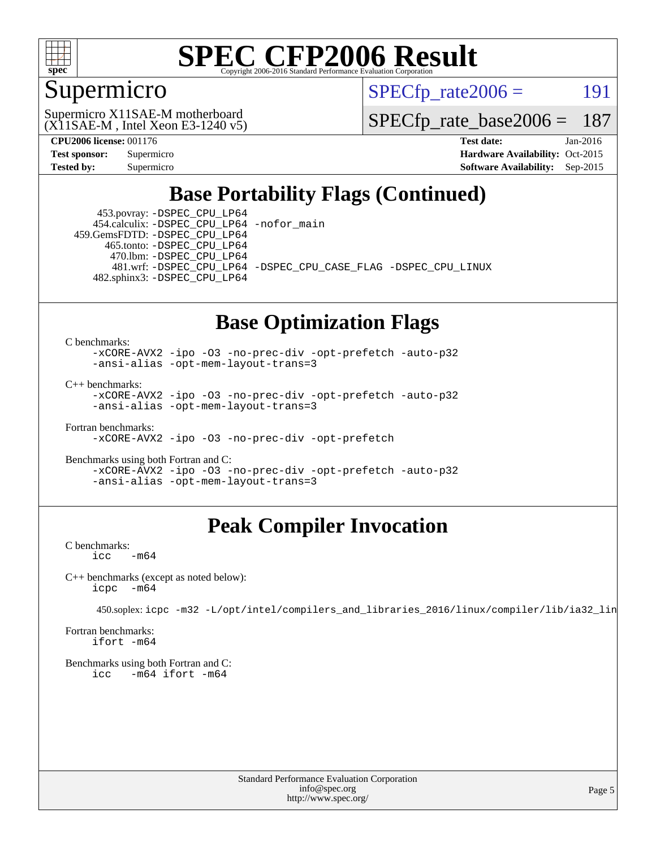

### Supermicro

 $SPECTp\_rate2006 = 191$ 

(X11SAE-M , Intel Xeon E3-1240 v5) Supermicro X11SAE-M motherboard

[SPECfp\\_rate\\_base2006 =](http://www.spec.org/auto/cpu2006/Docs/result-fields.html#SPECfpratebase2006) 187

**[CPU2006 license:](http://www.spec.org/auto/cpu2006/Docs/result-fields.html#CPU2006license)** 001176 **[Test date:](http://www.spec.org/auto/cpu2006/Docs/result-fields.html#Testdate)** Jan-2016 **[Test sponsor:](http://www.spec.org/auto/cpu2006/Docs/result-fields.html#Testsponsor)** Supermicro Supermicro **[Hardware Availability:](http://www.spec.org/auto/cpu2006/Docs/result-fields.html#HardwareAvailability)** Oct-2015 **[Tested by:](http://www.spec.org/auto/cpu2006/Docs/result-fields.html#Testedby)** Supermicro **Supermicro [Software Availability:](http://www.spec.org/auto/cpu2006/Docs/result-fields.html#SoftwareAvailability)** Sep-2015

### **[Base Portability Flags \(Continued\)](http://www.spec.org/auto/cpu2006/Docs/result-fields.html#BasePortabilityFlags)**

 453.povray: [-DSPEC\\_CPU\\_LP64](http://www.spec.org/cpu2006/results/res2016q1/cpu2006-20160206-38978.flags.html#suite_basePORTABILITY453_povray_DSPEC_CPU_LP64) 454.calculix: [-DSPEC\\_CPU\\_LP64](http://www.spec.org/cpu2006/results/res2016q1/cpu2006-20160206-38978.flags.html#suite_basePORTABILITY454_calculix_DSPEC_CPU_LP64) [-nofor\\_main](http://www.spec.org/cpu2006/results/res2016q1/cpu2006-20160206-38978.flags.html#user_baseLDPORTABILITY454_calculix_f-nofor_main) 459.GemsFDTD: [-DSPEC\\_CPU\\_LP64](http://www.spec.org/cpu2006/results/res2016q1/cpu2006-20160206-38978.flags.html#suite_basePORTABILITY459_GemsFDTD_DSPEC_CPU_LP64)

 465.tonto: [-DSPEC\\_CPU\\_LP64](http://www.spec.org/cpu2006/results/res2016q1/cpu2006-20160206-38978.flags.html#suite_basePORTABILITY465_tonto_DSPEC_CPU_LP64) 470.lbm: [-DSPEC\\_CPU\\_LP64](http://www.spec.org/cpu2006/results/res2016q1/cpu2006-20160206-38978.flags.html#suite_basePORTABILITY470_lbm_DSPEC_CPU_LP64)

 481.wrf: [-DSPEC\\_CPU\\_LP64](http://www.spec.org/cpu2006/results/res2016q1/cpu2006-20160206-38978.flags.html#suite_basePORTABILITY481_wrf_DSPEC_CPU_LP64) [-DSPEC\\_CPU\\_CASE\\_FLAG](http://www.spec.org/cpu2006/results/res2016q1/cpu2006-20160206-38978.flags.html#b481.wrf_baseCPORTABILITY_DSPEC_CPU_CASE_FLAG) [-DSPEC\\_CPU\\_LINUX](http://www.spec.org/cpu2006/results/res2016q1/cpu2006-20160206-38978.flags.html#b481.wrf_baseCPORTABILITY_DSPEC_CPU_LINUX) 482.sphinx3: [-DSPEC\\_CPU\\_LP64](http://www.spec.org/cpu2006/results/res2016q1/cpu2006-20160206-38978.flags.html#suite_basePORTABILITY482_sphinx3_DSPEC_CPU_LP64)

#### **[Base Optimization Flags](http://www.spec.org/auto/cpu2006/Docs/result-fields.html#BaseOptimizationFlags)**

[C benchmarks](http://www.spec.org/auto/cpu2006/Docs/result-fields.html#Cbenchmarks):

[-xCORE-AVX2](http://www.spec.org/cpu2006/results/res2016q1/cpu2006-20160206-38978.flags.html#user_CCbase_f-xAVX2_5f5fc0cbe2c9f62c816d3e45806c70d7) [-ipo](http://www.spec.org/cpu2006/results/res2016q1/cpu2006-20160206-38978.flags.html#user_CCbase_f-ipo) [-O3](http://www.spec.org/cpu2006/results/res2016q1/cpu2006-20160206-38978.flags.html#user_CCbase_f-O3) [-no-prec-div](http://www.spec.org/cpu2006/results/res2016q1/cpu2006-20160206-38978.flags.html#user_CCbase_f-no-prec-div) [-opt-prefetch](http://www.spec.org/cpu2006/results/res2016q1/cpu2006-20160206-38978.flags.html#user_CCbase_f-opt-prefetch) [-auto-p32](http://www.spec.org/cpu2006/results/res2016q1/cpu2006-20160206-38978.flags.html#user_CCbase_f-auto-p32) [-ansi-alias](http://www.spec.org/cpu2006/results/res2016q1/cpu2006-20160206-38978.flags.html#user_CCbase_f-ansi-alias) [-opt-mem-layout-trans=3](http://www.spec.org/cpu2006/results/res2016q1/cpu2006-20160206-38978.flags.html#user_CCbase_f-opt-mem-layout-trans_a7b82ad4bd7abf52556d4961a2ae94d5)

[C++ benchmarks:](http://www.spec.org/auto/cpu2006/Docs/result-fields.html#CXXbenchmarks)

[-xCORE-AVX2](http://www.spec.org/cpu2006/results/res2016q1/cpu2006-20160206-38978.flags.html#user_CXXbase_f-xAVX2_5f5fc0cbe2c9f62c816d3e45806c70d7) [-ipo](http://www.spec.org/cpu2006/results/res2016q1/cpu2006-20160206-38978.flags.html#user_CXXbase_f-ipo) [-O3](http://www.spec.org/cpu2006/results/res2016q1/cpu2006-20160206-38978.flags.html#user_CXXbase_f-O3) [-no-prec-div](http://www.spec.org/cpu2006/results/res2016q1/cpu2006-20160206-38978.flags.html#user_CXXbase_f-no-prec-div) [-opt-prefetch](http://www.spec.org/cpu2006/results/res2016q1/cpu2006-20160206-38978.flags.html#user_CXXbase_f-opt-prefetch) [-auto-p32](http://www.spec.org/cpu2006/results/res2016q1/cpu2006-20160206-38978.flags.html#user_CXXbase_f-auto-p32) [-ansi-alias](http://www.spec.org/cpu2006/results/res2016q1/cpu2006-20160206-38978.flags.html#user_CXXbase_f-ansi-alias) [-opt-mem-layout-trans=3](http://www.spec.org/cpu2006/results/res2016q1/cpu2006-20160206-38978.flags.html#user_CXXbase_f-opt-mem-layout-trans_a7b82ad4bd7abf52556d4961a2ae94d5)

[Fortran benchmarks](http://www.spec.org/auto/cpu2006/Docs/result-fields.html#Fortranbenchmarks): [-xCORE-AVX2](http://www.spec.org/cpu2006/results/res2016q1/cpu2006-20160206-38978.flags.html#user_FCbase_f-xAVX2_5f5fc0cbe2c9f62c816d3e45806c70d7) [-ipo](http://www.spec.org/cpu2006/results/res2016q1/cpu2006-20160206-38978.flags.html#user_FCbase_f-ipo) [-O3](http://www.spec.org/cpu2006/results/res2016q1/cpu2006-20160206-38978.flags.html#user_FCbase_f-O3) [-no-prec-div](http://www.spec.org/cpu2006/results/res2016q1/cpu2006-20160206-38978.flags.html#user_FCbase_f-no-prec-div) [-opt-prefetch](http://www.spec.org/cpu2006/results/res2016q1/cpu2006-20160206-38978.flags.html#user_FCbase_f-opt-prefetch)

[Benchmarks using both Fortran and C](http://www.spec.org/auto/cpu2006/Docs/result-fields.html#BenchmarksusingbothFortranandC): [-xCORE-AVX2](http://www.spec.org/cpu2006/results/res2016q1/cpu2006-20160206-38978.flags.html#user_CC_FCbase_f-xAVX2_5f5fc0cbe2c9f62c816d3e45806c70d7) [-ipo](http://www.spec.org/cpu2006/results/res2016q1/cpu2006-20160206-38978.flags.html#user_CC_FCbase_f-ipo) [-O3](http://www.spec.org/cpu2006/results/res2016q1/cpu2006-20160206-38978.flags.html#user_CC_FCbase_f-O3) [-no-prec-div](http://www.spec.org/cpu2006/results/res2016q1/cpu2006-20160206-38978.flags.html#user_CC_FCbase_f-no-prec-div) [-opt-prefetch](http://www.spec.org/cpu2006/results/res2016q1/cpu2006-20160206-38978.flags.html#user_CC_FCbase_f-opt-prefetch) [-auto-p32](http://www.spec.org/cpu2006/results/res2016q1/cpu2006-20160206-38978.flags.html#user_CC_FCbase_f-auto-p32) [-ansi-alias](http://www.spec.org/cpu2006/results/res2016q1/cpu2006-20160206-38978.flags.html#user_CC_FCbase_f-ansi-alias) [-opt-mem-layout-trans=3](http://www.spec.org/cpu2006/results/res2016q1/cpu2006-20160206-38978.flags.html#user_CC_FCbase_f-opt-mem-layout-trans_a7b82ad4bd7abf52556d4961a2ae94d5)

### **[Peak Compiler Invocation](http://www.spec.org/auto/cpu2006/Docs/result-fields.html#PeakCompilerInvocation)**

[C benchmarks](http://www.spec.org/auto/cpu2006/Docs/result-fields.html#Cbenchmarks):  $\text{icc}$   $-\text{m64}$ 

[C++ benchmarks \(except as noted below\):](http://www.spec.org/auto/cpu2006/Docs/result-fields.html#CXXbenchmarksexceptasnotedbelow) [icpc -m64](http://www.spec.org/cpu2006/results/res2016q1/cpu2006-20160206-38978.flags.html#user_CXXpeak_intel_icpc_64bit_bedb90c1146cab66620883ef4f41a67e)

450.soplex: [icpc -m32 -L/opt/intel/compilers\\_and\\_libraries\\_2016/linux/compiler/lib/ia32\\_lin](http://www.spec.org/cpu2006/results/res2016q1/cpu2006-20160206-38978.flags.html#user_peakCXXLD450_soplex_intel_icpc_b4f50a394bdb4597aa5879c16bc3f5c5)

[Fortran benchmarks](http://www.spec.org/auto/cpu2006/Docs/result-fields.html#Fortranbenchmarks): [ifort -m64](http://www.spec.org/cpu2006/results/res2016q1/cpu2006-20160206-38978.flags.html#user_FCpeak_intel_ifort_64bit_ee9d0fb25645d0210d97eb0527dcc06e)

[Benchmarks using both Fortran and C](http://www.spec.org/auto/cpu2006/Docs/result-fields.html#BenchmarksusingbothFortranandC): [icc -m64](http://www.spec.org/cpu2006/results/res2016q1/cpu2006-20160206-38978.flags.html#user_CC_FCpeak_intel_icc_64bit_0b7121f5ab7cfabee23d88897260401c) [ifort -m64](http://www.spec.org/cpu2006/results/res2016q1/cpu2006-20160206-38978.flags.html#user_CC_FCpeak_intel_ifort_64bit_ee9d0fb25645d0210d97eb0527dcc06e)

> Standard Performance Evaluation Corporation [info@spec.org](mailto:info@spec.org) <http://www.spec.org/>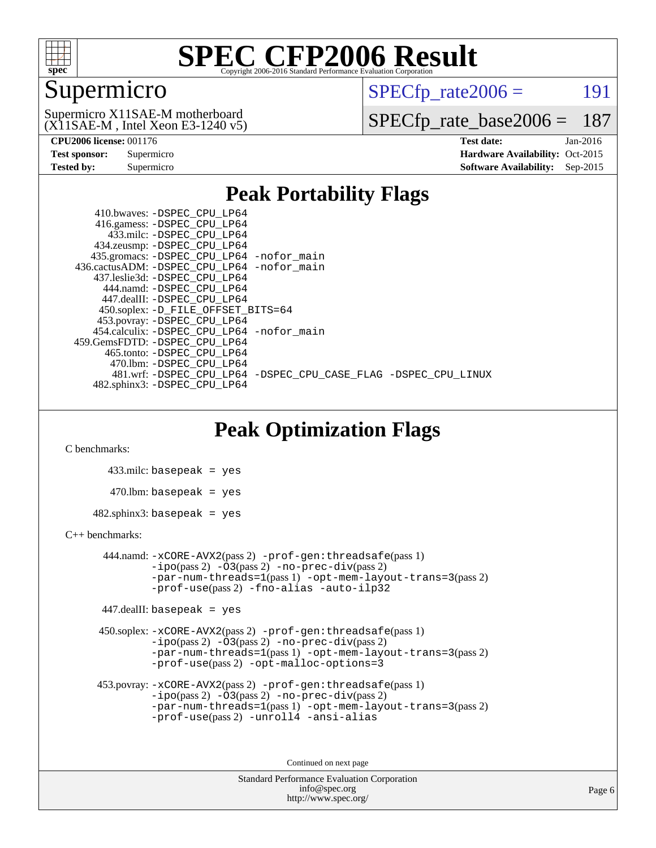

### Supermicro

 $SPECTp\_rate2006 = 191$ 

(X11SAE-M , Intel Xeon E3-1240 v5) Supermicro X11SAE-M motherboard

[SPECfp\\_rate\\_base2006 =](http://www.spec.org/auto/cpu2006/Docs/result-fields.html#SPECfpratebase2006) 187

**[CPU2006 license:](http://www.spec.org/auto/cpu2006/Docs/result-fields.html#CPU2006license)** 001176 **[Test date:](http://www.spec.org/auto/cpu2006/Docs/result-fields.html#Testdate)** Jan-2016 **[Test sponsor:](http://www.spec.org/auto/cpu2006/Docs/result-fields.html#Testsponsor)** Supermicro Supermicro **[Hardware Availability:](http://www.spec.org/auto/cpu2006/Docs/result-fields.html#HardwareAvailability)** Oct-2015 **[Tested by:](http://www.spec.org/auto/cpu2006/Docs/result-fields.html#Testedby)** Supermicro **Supermicro [Software Availability:](http://www.spec.org/auto/cpu2006/Docs/result-fields.html#SoftwareAvailability)** Sep-2015

#### **[Peak Portability Flags](http://www.spec.org/auto/cpu2006/Docs/result-fields.html#PeakPortabilityFlags)**

 410.bwaves: [-DSPEC\\_CPU\\_LP64](http://www.spec.org/cpu2006/results/res2016q1/cpu2006-20160206-38978.flags.html#suite_peakPORTABILITY410_bwaves_DSPEC_CPU_LP64) 416.gamess: [-DSPEC\\_CPU\\_LP64](http://www.spec.org/cpu2006/results/res2016q1/cpu2006-20160206-38978.flags.html#suite_peakPORTABILITY416_gamess_DSPEC_CPU_LP64) 433.milc: [-DSPEC\\_CPU\\_LP64](http://www.spec.org/cpu2006/results/res2016q1/cpu2006-20160206-38978.flags.html#suite_peakPORTABILITY433_milc_DSPEC_CPU_LP64) 434.zeusmp: [-DSPEC\\_CPU\\_LP64](http://www.spec.org/cpu2006/results/res2016q1/cpu2006-20160206-38978.flags.html#suite_peakPORTABILITY434_zeusmp_DSPEC_CPU_LP64) 435.gromacs: [-DSPEC\\_CPU\\_LP64](http://www.spec.org/cpu2006/results/res2016q1/cpu2006-20160206-38978.flags.html#suite_peakPORTABILITY435_gromacs_DSPEC_CPU_LP64) [-nofor\\_main](http://www.spec.org/cpu2006/results/res2016q1/cpu2006-20160206-38978.flags.html#user_peakLDPORTABILITY435_gromacs_f-nofor_main) 436.cactusADM: [-DSPEC\\_CPU\\_LP64](http://www.spec.org/cpu2006/results/res2016q1/cpu2006-20160206-38978.flags.html#suite_peakPORTABILITY436_cactusADM_DSPEC_CPU_LP64) [-nofor\\_main](http://www.spec.org/cpu2006/results/res2016q1/cpu2006-20160206-38978.flags.html#user_peakLDPORTABILITY436_cactusADM_f-nofor_main) 437.leslie3d: [-DSPEC\\_CPU\\_LP64](http://www.spec.org/cpu2006/results/res2016q1/cpu2006-20160206-38978.flags.html#suite_peakPORTABILITY437_leslie3d_DSPEC_CPU_LP64) 444.namd: [-DSPEC\\_CPU\\_LP64](http://www.spec.org/cpu2006/results/res2016q1/cpu2006-20160206-38978.flags.html#suite_peakPORTABILITY444_namd_DSPEC_CPU_LP64) 447.dealII: [-DSPEC\\_CPU\\_LP64](http://www.spec.org/cpu2006/results/res2016q1/cpu2006-20160206-38978.flags.html#suite_peakPORTABILITY447_dealII_DSPEC_CPU_LP64) 450.soplex: [-D\\_FILE\\_OFFSET\\_BITS=64](http://www.spec.org/cpu2006/results/res2016q1/cpu2006-20160206-38978.flags.html#user_peakPORTABILITY450_soplex_file_offset_bits_64_438cf9856305ebd76870a2c6dc2689ab) 453.povray: [-DSPEC\\_CPU\\_LP64](http://www.spec.org/cpu2006/results/res2016q1/cpu2006-20160206-38978.flags.html#suite_peakPORTABILITY453_povray_DSPEC_CPU_LP64) 454.calculix: [-DSPEC\\_CPU\\_LP64](http://www.spec.org/cpu2006/results/res2016q1/cpu2006-20160206-38978.flags.html#suite_peakPORTABILITY454_calculix_DSPEC_CPU_LP64) [-nofor\\_main](http://www.spec.org/cpu2006/results/res2016q1/cpu2006-20160206-38978.flags.html#user_peakLDPORTABILITY454_calculix_f-nofor_main) 459.GemsFDTD: [-DSPEC\\_CPU\\_LP64](http://www.spec.org/cpu2006/results/res2016q1/cpu2006-20160206-38978.flags.html#suite_peakPORTABILITY459_GemsFDTD_DSPEC_CPU_LP64) 465.tonto: [-DSPEC\\_CPU\\_LP64](http://www.spec.org/cpu2006/results/res2016q1/cpu2006-20160206-38978.flags.html#suite_peakPORTABILITY465_tonto_DSPEC_CPU_LP64) 470.lbm: [-DSPEC\\_CPU\\_LP64](http://www.spec.org/cpu2006/results/res2016q1/cpu2006-20160206-38978.flags.html#suite_peakPORTABILITY470_lbm_DSPEC_CPU_LP64) 481.wrf: [-DSPEC\\_CPU\\_LP64](http://www.spec.org/cpu2006/results/res2016q1/cpu2006-20160206-38978.flags.html#suite_peakPORTABILITY481_wrf_DSPEC_CPU_LP64) [-DSPEC\\_CPU\\_CASE\\_FLAG](http://www.spec.org/cpu2006/results/res2016q1/cpu2006-20160206-38978.flags.html#b481.wrf_peakCPORTABILITY_DSPEC_CPU_CASE_FLAG) [-DSPEC\\_CPU\\_LINUX](http://www.spec.org/cpu2006/results/res2016q1/cpu2006-20160206-38978.flags.html#b481.wrf_peakCPORTABILITY_DSPEC_CPU_LINUX) 482.sphinx3: [-DSPEC\\_CPU\\_LP64](http://www.spec.org/cpu2006/results/res2016q1/cpu2006-20160206-38978.flags.html#suite_peakPORTABILITY482_sphinx3_DSPEC_CPU_LP64)

### **[Peak Optimization Flags](http://www.spec.org/auto/cpu2006/Docs/result-fields.html#PeakOptimizationFlags)**

[C benchmarks](http://www.spec.org/auto/cpu2006/Docs/result-fields.html#Cbenchmarks):

 433.milc: basepeak = yes  $470.1$ bm: basepeak = yes  $482$ .sphinx3: basepeak = yes

#### [C++ benchmarks:](http://www.spec.org/auto/cpu2006/Docs/result-fields.html#CXXbenchmarks)

 444.namd: [-xCORE-AVX2](http://www.spec.org/cpu2006/results/res2016q1/cpu2006-20160206-38978.flags.html#user_peakPASS2_CXXFLAGSPASS2_LDFLAGS444_namd_f-xAVX2_5f5fc0cbe2c9f62c816d3e45806c70d7)(pass 2) [-prof-gen:threadsafe](http://www.spec.org/cpu2006/results/res2016q1/cpu2006-20160206-38978.flags.html#user_peakPASS1_CXXFLAGSPASS1_LDFLAGS444_namd_prof_gen_21a26eb79f378b550acd7bec9fe4467a)(pass 1)  $-i\text{po}(pass 2) -03(pass 2) -no-prec-div(pass 2)$  $-i\text{po}(pass 2) -03(pass 2) -no-prec-div(pass 2)$  $-i\text{po}(pass 2) -03(pass 2) -no-prec-div(pass 2)$ [-par-num-threads=1](http://www.spec.org/cpu2006/results/res2016q1/cpu2006-20160206-38978.flags.html#user_peakPASS1_CXXFLAGSPASS1_LDFLAGS444_namd_par_num_threads_786a6ff141b4e9e90432e998842df6c2)(pass 1) [-opt-mem-layout-trans=3](http://www.spec.org/cpu2006/results/res2016q1/cpu2006-20160206-38978.flags.html#user_peakPASS2_CXXFLAGS444_namd_f-opt-mem-layout-trans_a7b82ad4bd7abf52556d4961a2ae94d5)(pass 2) [-prof-use](http://www.spec.org/cpu2006/results/res2016q1/cpu2006-20160206-38978.flags.html#user_peakPASS2_CXXFLAGSPASS2_LDFLAGS444_namd_prof_use_bccf7792157ff70d64e32fe3e1250b55)(pass 2) [-fno-alias](http://www.spec.org/cpu2006/results/res2016q1/cpu2006-20160206-38978.flags.html#user_peakCXXOPTIMIZE444_namd_f-no-alias_694e77f6c5a51e658e82ccff53a9e63a) [-auto-ilp32](http://www.spec.org/cpu2006/results/res2016q1/cpu2006-20160206-38978.flags.html#user_peakCXXOPTIMIZE444_namd_f-auto-ilp32)

447.dealII: basepeak = yes

 450.soplex: [-xCORE-AVX2](http://www.spec.org/cpu2006/results/res2016q1/cpu2006-20160206-38978.flags.html#user_peakPASS2_CXXFLAGSPASS2_LDFLAGS450_soplex_f-xAVX2_5f5fc0cbe2c9f62c816d3e45806c70d7)(pass 2) [-prof-gen:threadsafe](http://www.spec.org/cpu2006/results/res2016q1/cpu2006-20160206-38978.flags.html#user_peakPASS1_CXXFLAGSPASS1_LDFLAGS450_soplex_prof_gen_21a26eb79f378b550acd7bec9fe4467a)(pass 1)  $-i\text{po}(pass 2) -\tilde{O}3(pass 2)$  -no- $\bar{p}rec-div(pass 2)$ [-par-num-threads=1](http://www.spec.org/cpu2006/results/res2016q1/cpu2006-20160206-38978.flags.html#user_peakPASS1_CXXFLAGSPASS1_LDFLAGS450_soplex_par_num_threads_786a6ff141b4e9e90432e998842df6c2)(pass 1) [-opt-mem-layout-trans=3](http://www.spec.org/cpu2006/results/res2016q1/cpu2006-20160206-38978.flags.html#user_peakPASS2_CXXFLAGS450_soplex_f-opt-mem-layout-trans_a7b82ad4bd7abf52556d4961a2ae94d5)(pass 2) [-prof-use](http://www.spec.org/cpu2006/results/res2016q1/cpu2006-20160206-38978.flags.html#user_peakPASS2_CXXFLAGSPASS2_LDFLAGS450_soplex_prof_use_bccf7792157ff70d64e32fe3e1250b55)(pass 2) [-opt-malloc-options=3](http://www.spec.org/cpu2006/results/res2016q1/cpu2006-20160206-38978.flags.html#user_peakOPTIMIZE450_soplex_f-opt-malloc-options_13ab9b803cf986b4ee62f0a5998c2238)

```
 453.povray: -xCORE-AVX2(pass 2) -prof-gen:threadsafe(pass 1)
-no-prec-div(pass 2)-par-num-threads=1(pass 1) -opt-mem-layout-trans=3(pass 2)
-prof-use(pass 2) -unroll4 -ansi-alias
```
Continued on next page

```
Standard Performance Evaluation Corporation
      info@spec.org
   http://www.spec.org/
```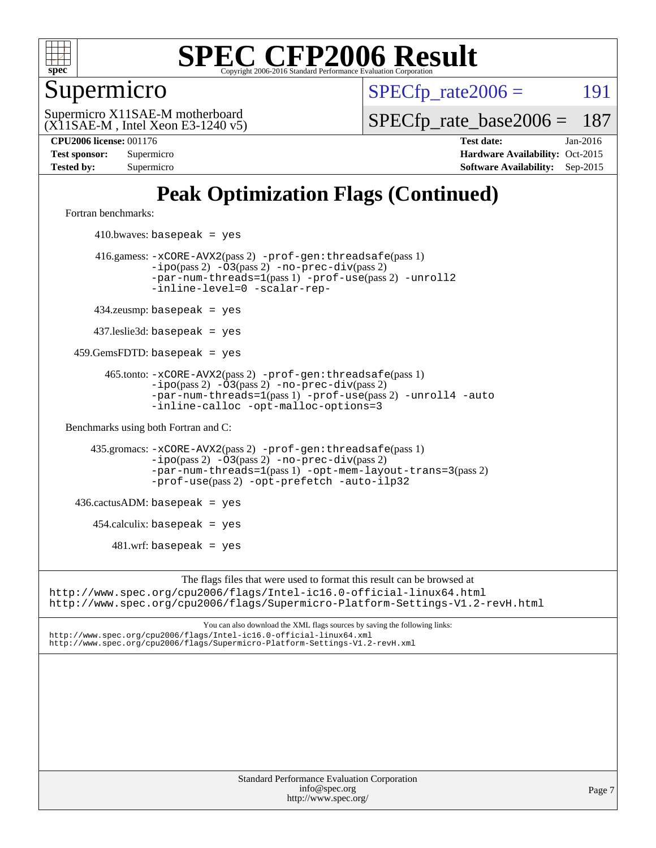

Supermicro

 $SPECTp\_rate2006 = 191$ 

(X11SAE-M , Intel Xeon E3-1240 v5) Supermicro X11SAE-M motherboard

[SPECfp\\_rate\\_base2006 =](http://www.spec.org/auto/cpu2006/Docs/result-fields.html#SPECfpratebase2006) 187

**[CPU2006 license:](http://www.spec.org/auto/cpu2006/Docs/result-fields.html#CPU2006license)** 001176 **[Test date:](http://www.spec.org/auto/cpu2006/Docs/result-fields.html#Testdate)** Jan-2016 **[Test sponsor:](http://www.spec.org/auto/cpu2006/Docs/result-fields.html#Testsponsor)** Supermicro Supermicro **[Hardware Availability:](http://www.spec.org/auto/cpu2006/Docs/result-fields.html#HardwareAvailability)** Oct-2015 **[Tested by:](http://www.spec.org/auto/cpu2006/Docs/result-fields.html#Testedby)** Supermicro **Supermicro [Software Availability:](http://www.spec.org/auto/cpu2006/Docs/result-fields.html#SoftwareAvailability)** Sep-2015

### **[Peak Optimization Flags \(Continued\)](http://www.spec.org/auto/cpu2006/Docs/result-fields.html#PeakOptimizationFlags)**

[Fortran benchmarks](http://www.spec.org/auto/cpu2006/Docs/result-fields.html#Fortranbenchmarks):

 $410.bwaves: basepeak = yes$  416.gamess: [-xCORE-AVX2](http://www.spec.org/cpu2006/results/res2016q1/cpu2006-20160206-38978.flags.html#user_peakPASS2_FFLAGSPASS2_LDFLAGS416_gamess_f-xAVX2_5f5fc0cbe2c9f62c816d3e45806c70d7)(pass 2) [-prof-gen:threadsafe](http://www.spec.org/cpu2006/results/res2016q1/cpu2006-20160206-38978.flags.html#user_peakPASS1_FFLAGSPASS1_LDFLAGS416_gamess_prof_gen_21a26eb79f378b550acd7bec9fe4467a)(pass 1) [-ipo](http://www.spec.org/cpu2006/results/res2016q1/cpu2006-20160206-38978.flags.html#user_peakPASS2_FFLAGSPASS2_LDFLAGS416_gamess_f-ipo)(pass 2) [-O3](http://www.spec.org/cpu2006/results/res2016q1/cpu2006-20160206-38978.flags.html#user_peakPASS2_FFLAGSPASS2_LDFLAGS416_gamess_f-O3)(pass 2) [-no-prec-div](http://www.spec.org/cpu2006/results/res2016q1/cpu2006-20160206-38978.flags.html#user_peakPASS2_FFLAGSPASS2_LDFLAGS416_gamess_f-no-prec-div)(pass 2) [-par-num-threads=1](http://www.spec.org/cpu2006/results/res2016q1/cpu2006-20160206-38978.flags.html#user_peakPASS1_FFLAGSPASS1_LDFLAGS416_gamess_par_num_threads_786a6ff141b4e9e90432e998842df6c2)(pass 1) [-prof-use](http://www.spec.org/cpu2006/results/res2016q1/cpu2006-20160206-38978.flags.html#user_peakPASS2_FFLAGSPASS2_LDFLAGS416_gamess_prof_use_bccf7792157ff70d64e32fe3e1250b55)(pass 2) [-unroll2](http://www.spec.org/cpu2006/results/res2016q1/cpu2006-20160206-38978.flags.html#user_peakOPTIMIZE416_gamess_f-unroll_784dae83bebfb236979b41d2422d7ec2) [-inline-level=0](http://www.spec.org/cpu2006/results/res2016q1/cpu2006-20160206-38978.flags.html#user_peakOPTIMIZE416_gamess_f-inline-level_318d07a09274ad25e8d15dbfaa68ba50) [-scalar-rep-](http://www.spec.org/cpu2006/results/res2016q1/cpu2006-20160206-38978.flags.html#user_peakOPTIMIZE416_gamess_f-disablescalarrep_abbcad04450fb118e4809c81d83c8a1d) 434.zeusmp: basepeak = yes 437.leslie3d: basepeak = yes 459.GemsFDTD: basepeak = yes 465.tonto: [-xCORE-AVX2](http://www.spec.org/cpu2006/results/res2016q1/cpu2006-20160206-38978.flags.html#user_peakPASS2_FFLAGSPASS2_LDFLAGS465_tonto_f-xAVX2_5f5fc0cbe2c9f62c816d3e45806c70d7)(pass 2) [-prof-gen:threadsafe](http://www.spec.org/cpu2006/results/res2016q1/cpu2006-20160206-38978.flags.html#user_peakPASS1_FFLAGSPASS1_LDFLAGS465_tonto_prof_gen_21a26eb79f378b550acd7bec9fe4467a)(pass 1)  $-ipo(pass 2)$  $-ipo(pass 2)$   $-03(pass 2)$   $-no-prec-div(pass 2)$  $-no-prec-div(pass 2)$ [-par-num-threads=1](http://www.spec.org/cpu2006/results/res2016q1/cpu2006-20160206-38978.flags.html#user_peakPASS1_FFLAGSPASS1_LDFLAGS465_tonto_par_num_threads_786a6ff141b4e9e90432e998842df6c2)(pass 1) [-prof-use](http://www.spec.org/cpu2006/results/res2016q1/cpu2006-20160206-38978.flags.html#user_peakPASS2_FFLAGSPASS2_LDFLAGS465_tonto_prof_use_bccf7792157ff70d64e32fe3e1250b55)(pass 2) [-unroll4](http://www.spec.org/cpu2006/results/res2016q1/cpu2006-20160206-38978.flags.html#user_peakOPTIMIZE465_tonto_f-unroll_4e5e4ed65b7fd20bdcd365bec371b81f) [-auto](http://www.spec.org/cpu2006/results/res2016q1/cpu2006-20160206-38978.flags.html#user_peakOPTIMIZE465_tonto_f-auto) [-inline-calloc](http://www.spec.org/cpu2006/results/res2016q1/cpu2006-20160206-38978.flags.html#user_peakOPTIMIZE465_tonto_f-inline-calloc) [-opt-malloc-options=3](http://www.spec.org/cpu2006/results/res2016q1/cpu2006-20160206-38978.flags.html#user_peakOPTIMIZE465_tonto_f-opt-malloc-options_13ab9b803cf986b4ee62f0a5998c2238) [Benchmarks using both Fortran and C](http://www.spec.org/auto/cpu2006/Docs/result-fields.html#BenchmarksusingbothFortranandC): 435.gromacs: [-xCORE-AVX2](http://www.spec.org/cpu2006/results/res2016q1/cpu2006-20160206-38978.flags.html#user_peakPASS2_CFLAGSPASS2_FFLAGSPASS2_LDFLAGS435_gromacs_f-xAVX2_5f5fc0cbe2c9f62c816d3e45806c70d7)(pass 2) [-prof-gen:threadsafe](http://www.spec.org/cpu2006/results/res2016q1/cpu2006-20160206-38978.flags.html#user_peakPASS1_CFLAGSPASS1_FFLAGSPASS1_LDFLAGS435_gromacs_prof_gen_21a26eb79f378b550acd7bec9fe4467a)(pass 1) [-ipo](http://www.spec.org/cpu2006/results/res2016q1/cpu2006-20160206-38978.flags.html#user_peakPASS2_CFLAGSPASS2_FFLAGSPASS2_LDFLAGS435_gromacs_f-ipo)(pass 2) [-O3](http://www.spec.org/cpu2006/results/res2016q1/cpu2006-20160206-38978.flags.html#user_peakPASS2_CFLAGSPASS2_FFLAGSPASS2_LDFLAGS435_gromacs_f-O3)(pass 2) [-no-prec-div](http://www.spec.org/cpu2006/results/res2016q1/cpu2006-20160206-38978.flags.html#user_peakPASS2_CFLAGSPASS2_FFLAGSPASS2_LDFLAGS435_gromacs_f-no-prec-div)(pass 2) [-par-num-threads=1](http://www.spec.org/cpu2006/results/res2016q1/cpu2006-20160206-38978.flags.html#user_peakPASS1_CFLAGSPASS1_FFLAGSPASS1_LDFLAGS435_gromacs_par_num_threads_786a6ff141b4e9e90432e998842df6c2)(pass 1) [-opt-mem-layout-trans=3](http://www.spec.org/cpu2006/results/res2016q1/cpu2006-20160206-38978.flags.html#user_peakPASS2_CFLAGS435_gromacs_f-opt-mem-layout-trans_a7b82ad4bd7abf52556d4961a2ae94d5)(pass 2) [-prof-use](http://www.spec.org/cpu2006/results/res2016q1/cpu2006-20160206-38978.flags.html#user_peakPASS2_CFLAGSPASS2_FFLAGSPASS2_LDFLAGS435_gromacs_prof_use_bccf7792157ff70d64e32fe3e1250b55)(pass 2) [-opt-prefetch](http://www.spec.org/cpu2006/results/res2016q1/cpu2006-20160206-38978.flags.html#user_peakOPTIMIZE435_gromacs_f-opt-prefetch) [-auto-ilp32](http://www.spec.org/cpu2006/results/res2016q1/cpu2006-20160206-38978.flags.html#user_peakCOPTIMIZE435_gromacs_f-auto-ilp32)  $436.cactusADM:basepeak = yes$  454.calculix: basepeak = yes  $481.$ wrf: basepeak = yes The flags files that were used to format this result can be browsed at <http://www.spec.org/cpu2006/flags/Intel-ic16.0-official-linux64.html> <http://www.spec.org/cpu2006/flags/Supermicro-Platform-Settings-V1.2-revH.html>

You can also download the XML flags sources by saving the following links: <http://www.spec.org/cpu2006/flags/Intel-ic16.0-official-linux64.xml> <http://www.spec.org/cpu2006/flags/Supermicro-Platform-Settings-V1.2-revH.xml>